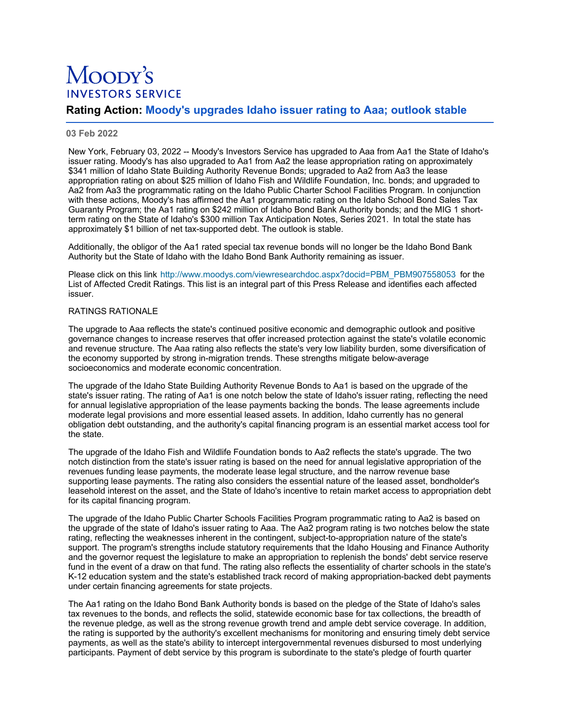# Moopy's **INVESTORS SERVICE**

# **Rating Action: Moody's upgrades Idaho issuer rating to Aaa; outlook stable**

# **03 Feb 2022**

New York, February 03, 2022 -- Moody's Investors Service has upgraded to Aaa from Aa1 the State of Idaho's issuer rating. Moody's has also upgraded to Aa1 from Aa2 the lease appropriation rating on approximately \$341 million of Idaho State Building Authority Revenue Bonds; upgraded to Aa2 from Aa3 the lease appropriation rating on about \$25 million of Idaho Fish and Wildlife Foundation, Inc. bonds; and upgraded to Aa2 from Aa3 the programmatic rating on the Idaho Public Charter School Facilities Program. In conjunction with these actions, Moody's has affirmed the Aa1 programmatic rating on the Idaho School Bond Sales Tax Guaranty Program; the Aa1 rating on \$242 million of Idaho Bond Bank Authority bonds; and the MIG 1 shortterm rating on the State of Idaho's \$300 million Tax Anticipation Notes, Series 2021. In total the state has approximately \$1 billion of net tax-supported debt. The outlook is stable.

Additionally, the obligor of the Aa1 rated special tax revenue bonds will no longer be the Idaho Bond Bank Authority but the State of Idaho with the Idaho Bond Bank Authority remaining as issuer.

Please click on this link [http://www.moodys.com/viewresearchdoc.aspx?docid=PBM\\_PBM907558053](http://www.moodys.com/viewresearchdoc.aspx?docid=PBM_PBM907558053) for the List of Affected Credit Ratings. This list is an integral part of this Press Release and identifies each affected issuer.

# RATINGS RATIONALE

The upgrade to Aaa reflects the state's continued positive economic and demographic outlook and positive governance changes to increase reserves that offer increased protection against the state's volatile economic and revenue structure. The Aaa rating also reflects the state's very low liability burden, some diversification of the economy supported by strong in-migration trends. These strengths mitigate below-average socioeconomics and moderate economic concentration.

The upgrade of the Idaho State Building Authority Revenue Bonds to Aa1 is based on the upgrade of the state's issuer rating. The rating of Aa1 is one notch below the state of Idaho's issuer rating, reflecting the need for annual legislative appropriation of the lease payments backing the bonds. The lease agreements include moderate legal provisions and more essential leased assets. In addition, Idaho currently has no general obligation debt outstanding, and the authority's capital financing program is an essential market access tool for the state.

The upgrade of the Idaho Fish and Wildlife Foundation bonds to Aa2 reflects the state's upgrade. The two notch distinction from the state's issuer rating is based on the need for annual legislative appropriation of the revenues funding lease payments, the moderate lease legal structure, and the narrow revenue base supporting lease payments. The rating also considers the essential nature of the leased asset, bondholder's leasehold interest on the asset, and the State of Idaho's incentive to retain market access to appropriation debt for its capital financing program.

The upgrade of the Idaho Public Charter Schools Facilities Program programmatic rating to Aa2 is based on the upgrade of the state of Idaho's issuer rating to Aaa. The Aa2 program rating is two notches below the state rating, reflecting the weaknesses inherent in the contingent, subject-to-appropriation nature of the state's support. The program's strengths include statutory requirements that the Idaho Housing and Finance Authority and the governor request the legislature to make an appropriation to replenish the bonds' debt service reserve fund in the event of a draw on that fund. The rating also reflects the essentiality of charter schools in the state's K-12 education system and the state's established track record of making appropriation-backed debt payments under certain financing agreements for state projects.

The Aa1 rating on the Idaho Bond Bank Authority bonds is based on the pledge of the State of Idaho's sales tax revenues to the bonds, and reflects the solid, statewide economic base for tax collections, the breadth of the revenue pledge, as well as the strong revenue growth trend and ample debt service coverage. In addition, the rating is supported by the authority's excellent mechanisms for monitoring and ensuring timely debt service payments, as well as the state's ability to intercept intergovernmental revenues disbursed to most underlying participants. Payment of debt service by this program is subordinate to the state's pledge of fourth quarter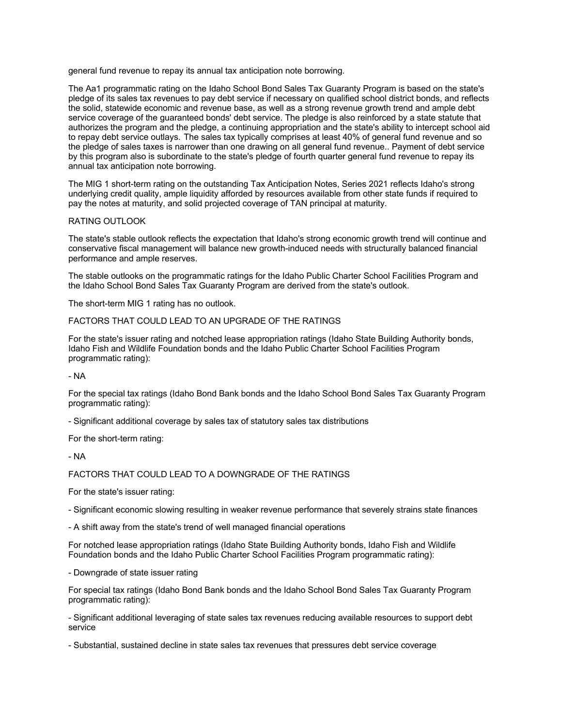general fund revenue to repay its annual tax anticipation note borrowing.

The Aa1 programmatic rating on the Idaho School Bond Sales Tax Guaranty Program is based on the state's pledge of its sales tax revenues to pay debt service if necessary on qualified school district bonds, and reflects the solid, statewide economic and revenue base, as well as a strong revenue growth trend and ample debt service coverage of the guaranteed bonds' debt service. The pledge is also reinforced by a state statute that authorizes the program and the pledge, a continuing appropriation and the state's ability to intercept school aid to repay debt service outlays. The sales tax typically comprises at least 40% of general fund revenue and so the pledge of sales taxes is narrower than one drawing on all general fund revenue.. Payment of debt service by this program also is subordinate to the state's pledge of fourth quarter general fund revenue to repay its annual tax anticipation note borrowing.

The MIG 1 short-term rating on the outstanding Tax Anticipation Notes, Series 2021 reflects Idaho's strong underlying credit quality, ample liquidity afforded by resources available from other state funds if required to pay the notes at maturity, and solid projected coverage of TAN principal at maturity.

# RATING OUTLOOK

The state's stable outlook reflects the expectation that Idaho's strong economic growth trend will continue and conservative fiscal management will balance new growth-induced needs with structurally balanced financial performance and ample reserves.

The stable outlooks on the programmatic ratings for the Idaho Public Charter School Facilities Program and the Idaho School Bond Sales Tax Guaranty Program are derived from the state's outlook.

The short-term MIG 1 rating has no outlook.

# FACTORS THAT COULD LEAD TO AN UPGRADE OF THE RATINGS

For the state's issuer rating and notched lease appropriation ratings (Idaho State Building Authority bonds, Idaho Fish and Wildlife Foundation bonds and the Idaho Public Charter School Facilities Program programmatic rating):

- NA

For the special tax ratings (Idaho Bond Bank bonds and the Idaho School Bond Sales Tax Guaranty Program programmatic rating):

- Significant additional coverage by sales tax of statutory sales tax distributions

For the short-term rating:

- NA

# FACTORS THAT COULD LEAD TO A DOWNGRADE OF THE RATINGS

For the state's issuer rating:

- Significant economic slowing resulting in weaker revenue performance that severely strains state finances

- A shift away from the state's trend of well managed financial operations

For notched lease appropriation ratings (Idaho State Building Authority bonds, Idaho Fish and Wildlife Foundation bonds and the Idaho Public Charter School Facilities Program programmatic rating):

- Downgrade of state issuer rating

For special tax ratings (Idaho Bond Bank bonds and the Idaho School Bond Sales Tax Guaranty Program programmatic rating):

- Significant additional leveraging of state sales tax revenues reducing available resources to support debt service

- Substantial, sustained decline in state sales tax revenues that pressures debt service coverage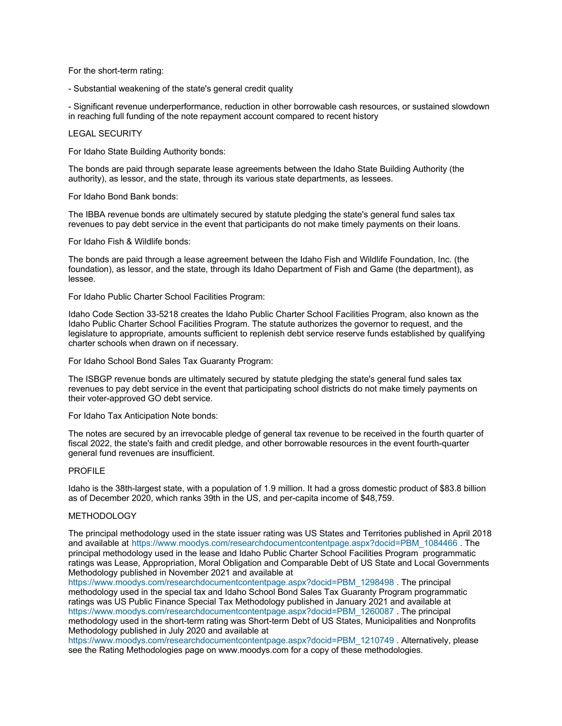For the short-term rating:

- Substantial weakening of the state's general credit quality

- Significant revenue underperformance, reduction in other borrowable cash resources, or sustained slowdown in reaching full funding of the note repayment account compared to recent history

#### LEGAL SECURITY

For Idaho State Building Authority bonds:

The bonds are paid through separate lease agreements between the Idaho State Building Authority (the authority), as lessor, and the state, through its various state departments, as lessees.

For Idaho Bond Bank bonds:

The IBBA revenue bonds are ultimately secured by statute pledging the state's general fund sales tax revenues to pay debt service in the event that participants do not make timely payments on their loans.

For Idaho Fish & Wildlife bonds:

The bonds are paid through a lease agreement between the Idaho Fish and Wildlife Foundation, Inc. (the foundation), as lessor, and the state, through its Idaho Department of Fish and Game (the department), as lessee.

For Idaho Public Charter School Facilities Program:

Idaho Code Section 33-5218 creates the Idaho Public Charter School Facilities Program, also known as the Idaho Public Charter School Facilities Program. The statute authorizes the governor to request, and the legislature to appropriate, amounts sufficient to replenish debt service reserve funds established by qualifying charter schools when drawn on if necessary.

For Idaho School Bond Sales Tax Guaranty Program:

The ISBGP revenue bonds are ultimately secured by statute pledging the state's general fund sales tax revenues to pay debt service in the event that participating school districts do not make timely payments on their voter-approved GO debt service.

For Idaho Tax Anticipation Note bonds:

The notes are secured by an irrevocable pledge of general tax revenue to be received in the fourth quarter of fiscal 2022, the state's faith and credit pledge, and other borrowable resources in the event fourth-quarter general fund revenues are insufficient.

# PROFILE

Idaho is the 38th-largest state, with a population of 1.9 million. It had a gross domestic product of \$83.8 billion as of December 2020, which ranks 39th in the US, and per-capita income of \$48,759.

# **METHODOLOGY**

The principal methodology used in the state issuer rating was US States and Territories published in April 2018 and available at [https://www.moodys.com/researchdocumentcontentpage.aspx?docid=PBM\\_1084466](https://www.moodys.com/researchdocumentcontentpage.aspx?docid=PBM_1084466) . The principal methodology used in the lease and Idaho Public Charter School Facilities Program programmatic ratings was Lease, Appropriation, Moral Obligation and Comparable Debt of US State and Local Governments Methodology published in November 2021 and available at

[https://www.moodys.com/researchdocumentcontentpage.aspx?docid=PBM\\_1298498](https://www.moodys.com/researchdocumentcontentpage.aspx?docid=PBM_1298498) . The principal methodology used in the special tax and Idaho School Bond Sales Tax Guaranty Program programmatic ratings was US Public Finance Special Tax Methodology published in January 2021 and available at [https://www.moodys.com/researchdocumentcontentpage.aspx?docid=PBM\\_1260087](https://www.moodys.com/researchdocumentcontentpage.aspx?docid=PBM_1260087) . The principal methodology used in the short-term rating was Short-term Debt of US States, Municipalities and Nonprofits Methodology published in July 2020 and available at

[https://www.moodys.com/researchdocumentcontentpage.aspx?docid=PBM\\_1210749](https://www.moodys.com/researchdocumentcontentpage.aspx?docid=PBM_1210749) . Alternatively, please see the Rating Methodologies page on www.moodys.com for a copy of these methodologies.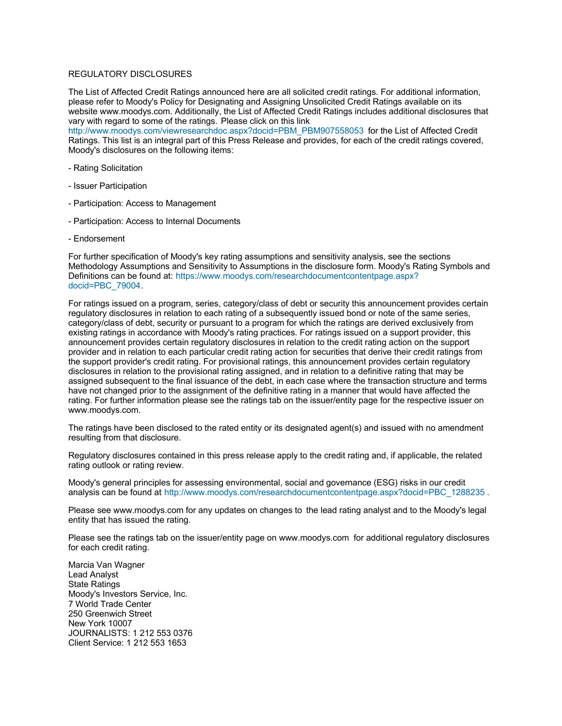#### REGULATORY DISCLOSURES

The List of Affected Credit Ratings announced here are all solicited credit ratings. For additional information, please refer to Moody's Policy for Designating and Assigning Unsolicited Credit Ratings available on its website www.moodys.com. Additionally, the List of Affected Credit Ratings includes additional disclosures that vary with regard to some of the ratings. Please click on this link

[http://www.moodys.com/viewresearchdoc.aspx?docid=PBM\\_PBM907558053](http://www.moodys.com/viewresearchdoc.aspx?docid=PBM_PBM907558053) for the List of Affected Credit Ratings. This list is an integral part of this Press Release and provides, for each of the credit ratings covered, Moody's disclosures on the following items:

- Rating Solicitation
- Issuer Participation
- Participation: Access to Management
- Participation: Access to Internal Documents
- Endorsement

For further specification of Moody's key rating assumptions and sensitivity analysis, see the sections Methodology Assumptions and Sensitivity to Assumptions in the disclosure form. Moody's Rating Symbols and [Definitions can be found at: https://www.moodys.com/researchdocumentcontentpage.aspx?](https://www.moodys.com/researchdocumentcontentpage.aspx?docid=PBC_79004) docid=PBC\_79004.

For ratings issued on a program, series, category/class of debt or security this announcement provides certain regulatory disclosures in relation to each rating of a subsequently issued bond or note of the same series, category/class of debt, security or pursuant to a program for which the ratings are derived exclusively from existing ratings in accordance with Moody's rating practices. For ratings issued on a support provider, this announcement provides certain regulatory disclosures in relation to the credit rating action on the support provider and in relation to each particular credit rating action for securities that derive their credit ratings from the support provider's credit rating. For provisional ratings, this announcement provides certain regulatory disclosures in relation to the provisional rating assigned, and in relation to a definitive rating that may be assigned subsequent to the final issuance of the debt, in each case where the transaction structure and terms have not changed prior to the assignment of the definitive rating in a manner that would have affected the rating. For further information please see the ratings tab on the issuer/entity page for the respective issuer on www.moodys.com.

The ratings have been disclosed to the rated entity or its designated agent(s) and issued with no amendment resulting from that disclosure.

Regulatory disclosures contained in this press release apply to the credit rating and, if applicable, the related rating outlook or rating review.

Moody's general principles for assessing environmental, social and governance (ESG) risks in our credit analysis can be found at [http://www.moodys.com/researchdocumentcontentpage.aspx?docid=PBC\\_1288235](http://www.moodys.com/researchdocumentcontentpage.aspx?docid=PBC_1288235).

Please see www.moodys.com for any updates on changes to the lead rating analyst and to the Moody's legal entity that has issued the rating.

Please see the ratings tab on the issuer/entity page on www.moodys.com for additional regulatory disclosures for each credit rating.

Marcia Van Wagner Lead Analyst State Ratings Moody's Investors Service, Inc. 7 World Trade Center 250 Greenwich Street New York 10007 JOURNALISTS: 1 212 553 0376 Client Service: 1 212 553 1653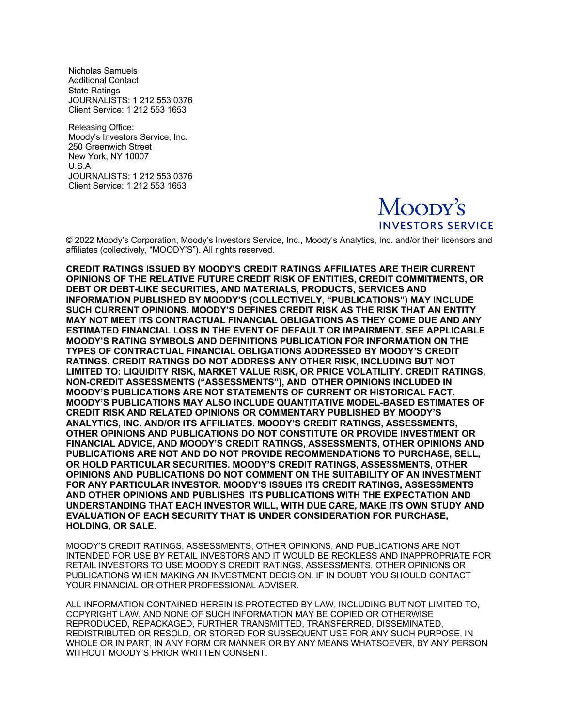Nicholas Samuels Additional Contact State Ratings JOURNALISTS: 1 212 553 0376 Client Service: 1 212 553 1653

Releasing Office: Moody's Investors Service, Inc. 250 Greenwich Street New York, NY 10007 U.S.A JOURNALISTS: 1 212 553 0376 Client Service: 1 212 553 1653



© 2022 Moody's Corporation, Moody's Investors Service, Inc., Moody's Analytics, Inc. and/or their licensors and affiliates (collectively, "MOODY'S"). All rights reserved.

**CREDIT RATINGS ISSUED BY MOODY'S CREDIT RATINGS AFFILIATES ARE THEIR CURRENT OPINIONS OF THE RELATIVE FUTURE CREDIT RISK OF ENTITIES, CREDIT COMMITMENTS, OR DEBT OR DEBT-LIKE SECURITIES, AND MATERIALS, PRODUCTS, SERVICES AND INFORMATION PUBLISHED BY MOODY'S (COLLECTIVELY, "PUBLICATIONS") MAY INCLUDE SUCH CURRENT OPINIONS. MOODY'S DEFINES CREDIT RISK AS THE RISK THAT AN ENTITY MAY NOT MEET ITS CONTRACTUAL FINANCIAL OBLIGATIONS AS THEY COME DUE AND ANY ESTIMATED FINANCIAL LOSS IN THE EVENT OF DEFAULT OR IMPAIRMENT. SEE APPLICABLE MOODY'S RATING SYMBOLS AND DEFINITIONS PUBLICATION FOR INFORMATION ON THE TYPES OF CONTRACTUAL FINANCIAL OBLIGATIONS ADDRESSED BY MOODY'S CREDIT RATINGS. CREDIT RATINGS DO NOT ADDRESS ANY OTHER RISK, INCLUDING BUT NOT LIMITED TO: LIQUIDITY RISK, MARKET VALUE RISK, OR PRICE VOLATILITY. CREDIT RATINGS, NON-CREDIT ASSESSMENTS ("ASSESSMENTS"), AND OTHER OPINIONS INCLUDED IN MOODY'S PUBLICATIONS ARE NOT STATEMENTS OF CURRENT OR HISTORICAL FACT. MOODY'S PUBLICATIONS MAY ALSO INCLUDE QUANTITATIVE MODEL-BASED ESTIMATES OF CREDIT RISK AND RELATED OPINIONS OR COMMENTARY PUBLISHED BY MOODY'S ANALYTICS, INC. AND/OR ITS AFFILIATES. MOODY'S CREDIT RATINGS, ASSESSMENTS, OTHER OPINIONS AND PUBLICATIONS DO NOT CONSTITUTE OR PROVIDE INVESTMENT OR FINANCIAL ADVICE, AND MOODY'S CREDIT RATINGS, ASSESSMENTS, OTHER OPINIONS AND PUBLICATIONS ARE NOT AND DO NOT PROVIDE RECOMMENDATIONS TO PURCHASE, SELL, OR HOLD PARTICULAR SECURITIES. MOODY'S CREDIT RATINGS, ASSESSMENTS, OTHER OPINIONS AND PUBLICATIONS DO NOT COMMENT ON THE SUITABILITY OF AN INVESTMENT FOR ANY PARTICULAR INVESTOR. MOODY'S ISSUES ITS CREDIT RATINGS, ASSESSMENTS AND OTHER OPINIONS AND PUBLISHES ITS PUBLICATIONS WITH THE EXPECTATION AND UNDERSTANDING THAT EACH INVESTOR WILL, WITH DUE CARE, MAKE ITS OWN STUDY AND EVALUATION OF EACH SECURITY THAT IS UNDER CONSIDERATION FOR PURCHASE, HOLDING, OR SALE.** 

MOODY'S CREDIT RATINGS, ASSESSMENTS, OTHER OPINIONS, AND PUBLICATIONS ARE NOT INTENDED FOR USE BY RETAIL INVESTORS AND IT WOULD BE RECKLESS AND INAPPROPRIATE FOR RETAIL INVESTORS TO USE MOODY'S CREDIT RATINGS, ASSESSMENTS, OTHER OPINIONS OR PUBLICATIONS WHEN MAKING AN INVESTMENT DECISION. IF IN DOUBT YOU SHOULD CONTACT YOUR FINANCIAL OR OTHER PROFESSIONAL ADVISER.

ALL INFORMATION CONTAINED HEREIN IS PROTECTED BY LAW, INCLUDING BUT NOT LIMITED TO, COPYRIGHT LAW, AND NONE OF SUCH INFORMATION MAY BE COPIED OR OTHERWISE REPRODUCED, REPACKAGED, FURTHER TRANSMITTED, TRANSFERRED, DISSEMINATED, REDISTRIBUTED OR RESOLD, OR STORED FOR SUBSEQUENT USE FOR ANY SUCH PURPOSE, IN WHOLE OR IN PART, IN ANY FORM OR MANNER OR BY ANY MEANS WHATSOEVER, BY ANY PERSON WITHOUT MOODY'S PRIOR WRITTEN CONSENT.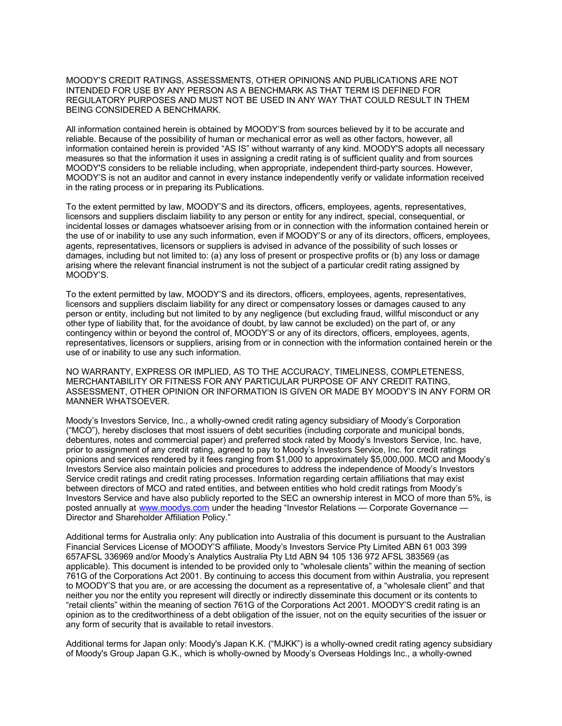MOODY'S CREDIT RATINGS, ASSESSMENTS, OTHER OPINIONS AND PUBLICATIONS ARE NOT INTENDED FOR USE BY ANY PERSON AS A BENCHMARK AS THAT TERM IS DEFINED FOR REGULATORY PURPOSES AND MUST NOT BE USED IN ANY WAY THAT COULD RESULT IN THEM BEING CONSIDERED A BENCHMARK.

All information contained herein is obtained by MOODY'S from sources believed by it to be accurate and reliable. Because of the possibility of human or mechanical error as well as other factors, however, all information contained herein is provided "AS IS" without warranty of any kind. MOODY'S adopts all necessary measures so that the information it uses in assigning a credit rating is of sufficient quality and from sources MOODY'S considers to be reliable including, when appropriate, independent third-party sources. However, MOODY'S is not an auditor and cannot in every instance independently verify or validate information received in the rating process or in preparing its Publications.

To the extent permitted by law, MOODY'S and its directors, officers, employees, agents, representatives, licensors and suppliers disclaim liability to any person or entity for any indirect, special, consequential, or incidental losses or damages whatsoever arising from or in connection with the information contained herein or the use of or inability to use any such information, even if MOODY'S or any of its directors, officers, employees, agents, representatives, licensors or suppliers is advised in advance of the possibility of such losses or damages, including but not limited to: (a) any loss of present or prospective profits or (b) any loss or damage arising where the relevant financial instrument is not the subject of a particular credit rating assigned by MOODY'S.

To the extent permitted by law, MOODY'S and its directors, officers, employees, agents, representatives, licensors and suppliers disclaim liability for any direct or compensatory losses or damages caused to any person or entity, including but not limited to by any negligence (but excluding fraud, willful misconduct or any other type of liability that, for the avoidance of doubt, by law cannot be excluded) on the part of, or any contingency within or beyond the control of, MOODY'S or any of its directors, officers, employees, agents, representatives, licensors or suppliers, arising from or in connection with the information contained herein or the use of or inability to use any such information.

NO WARRANTY, EXPRESS OR IMPLIED, AS TO THE ACCURACY, TIMELINESS, COMPLETENESS, MERCHANTABILITY OR FITNESS FOR ANY PARTICULAR PURPOSE OF ANY CREDIT RATING, ASSESSMENT, OTHER OPINION OR INFORMATION IS GIVEN OR MADE BY MOODY'S IN ANY FORM OR MANNER WHATSOEVER.

Moody's Investors Service, Inc., a wholly-owned credit rating agency subsidiary of Moody's Corporation ("MCO"), hereby discloses that most issuers of debt securities (including corporate and municipal bonds, debentures, notes and commercial paper) and preferred stock rated by Moody's Investors Service, Inc. have, prior to assignment of any credit rating, agreed to pay to Moody's Investors Service, Inc. for credit ratings opinions and services rendered by it fees ranging from \$1,000 to approximately \$5,000,000. MCO and Moody's Investors Service also maintain policies and procedures to address the independence of Moody's Investors Service credit ratings and credit rating processes. Information regarding certain affiliations that may exist between directors of MCO and rated entities, and between entities who hold credit ratings from Moody's Investors Service and have also publicly reported to the SEC an ownership interest in MCO of more than 5%, is posted annually at [www.moodys.com](http://www.moodys.com/) under the heading "Investor Relations — Corporate Governance — Director and Shareholder Affiliation Policy."

Additional terms for Australia only: Any publication into Australia of this document is pursuant to the Australian Financial Services License of MOODY'S affiliate, Moody's Investors Service Pty Limited ABN 61 003 399 657AFSL 336969 and/or Moody's Analytics Australia Pty Ltd ABN 94 105 136 972 AFSL 383569 (as applicable). This document is intended to be provided only to "wholesale clients" within the meaning of section 761G of the Corporations Act 2001. By continuing to access this document from within Australia, you represent to MOODY'S that you are, or are accessing the document as a representative of, a "wholesale client" and that neither you nor the entity you represent will directly or indirectly disseminate this document or its contents to "retail clients" within the meaning of section 761G of the Corporations Act 2001. MOODY'S credit rating is an opinion as to the creditworthiness of a debt obligation of the issuer, not on the equity securities of the issuer or any form of security that is available to retail investors.

Additional terms for Japan only: Moody's Japan K.K. ("MJKK") is a wholly-owned credit rating agency subsidiary of Moody's Group Japan G.K., which is wholly-owned by Moody's Overseas Holdings Inc., a wholly-owned